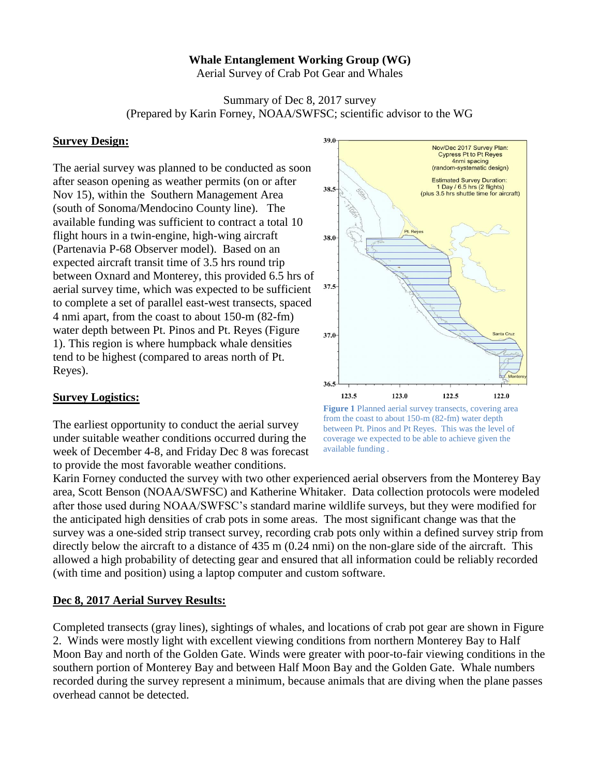## **Whale Entanglement Working Group (WG)**

Aerial Survey of Crab Pot Gear and Whales

Summary of Dec 8, 2017 survey (Prepared by Karin Forney, NOAA/SWFSC; scientific advisor to the WG

## **Survey Design:**

The aerial survey was planned to be conducted as soon after season opening as weather permits (on or after Nov 15), within the Southern Management Area (south of Sonoma/Mendocino County line). The available funding was sufficient to contract a total 10 flight hours in a twin-engine, high-wing aircraft (Partenavia P-68 Observer model). Based on an expected aircraft transit time of 3.5 hrs round trip between Oxnard and Monterey, this provided 6.5 hrs of aerial survey time, which was expected to be sufficient to complete a set of parallel east-west transects, spaced 4 nmi apart, from the coast to about 150-m (82-fm) water depth between Pt. Pinos and Pt. Reyes (Figure 1). This region is where humpback whale densities tend to be highest (compared to areas north of Pt. Reyes).

## **Survey Logistics:**

The earliest opportunity to conduct the aerial survey under suitable weather conditions occurred during the week of December 4-8, and Friday Dec 8 was forecast to provide the most favorable weather conditions.



**Figure 1** Planned aerial survey transects, covering area from the coast to about 150-m (82-fm) water depth between Pt. Pinos and Pt Reyes. This was the level of coverage we expected to be able to achieve given the available funding .

Karin Forney conducted the survey with two other experienced aerial observers from the Monterey Bay area, Scott Benson (NOAA/SWFSC) and Katherine Whitaker. Data collection protocols were modeled after those used during NOAA/SWFSC's standard marine wildlife surveys, but they were modified for the anticipated high densities of crab pots in some areas. The most significant change was that the survey was a one-sided strip transect survey, recording crab pots only within a defined survey strip from directly below the aircraft to a distance of 435 m (0.24 nmi) on the non-glare side of the aircraft. This allowed a high probability of detecting gear and ensured that all information could be reliably recorded (with time and position) using a laptop computer and custom software.

## **Dec 8, 2017 Aerial Survey Results:**

Completed transects (gray lines), sightings of whales, and locations of crab pot gear are shown in Figure 2. Winds were mostly light with excellent viewing conditions from northern Monterey Bay to Half Moon Bay and north of the Golden Gate. Winds were greater with poor-to-fair viewing conditions in the southern portion of Monterey Bay and between Half Moon Bay and the Golden Gate. Whale numbers recorded during the survey represent a minimum, because animals that are diving when the plane passes overhead cannot be detected.